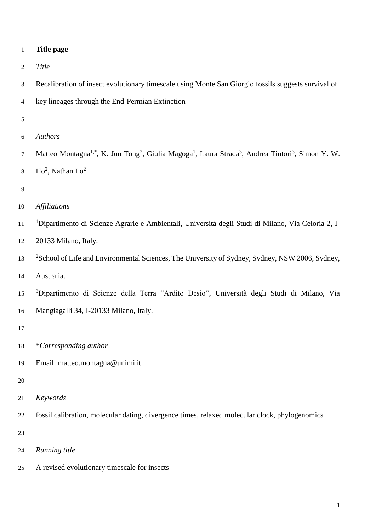| $\mathbf 1$    | <b>Title page</b>                                                                                                                                              |
|----------------|----------------------------------------------------------------------------------------------------------------------------------------------------------------|
| 2              | Title                                                                                                                                                          |
| 3              | Recalibration of insect evolutionary timescale using Monte San Giorgio fossils suggests survival of                                                            |
| $\overline{4}$ | key lineages through the End-Permian Extinction                                                                                                                |
| $\sqrt{5}$     |                                                                                                                                                                |
| 6              | Authors                                                                                                                                                        |
| $\tau$         | Matteo Montagna <sup>1,*</sup> , K. Jun Tong <sup>2</sup> , Giulia Magoga <sup>1</sup> , Laura Strada <sup>3</sup> , Andrea Tintori <sup>3</sup> , Simon Y. W. |
| $\,8\,$        | $Ho2$ , Nathan $Lo2$                                                                                                                                           |
| 9              |                                                                                                                                                                |
| 10             | <b>Affiliations</b>                                                                                                                                            |
| $11\,$         | <sup>1</sup> Dipartimento di Scienze Agrarie e Ambientali, Università degli Studi di Milano, Via Celoria 2, I-                                                 |
| 12             | 20133 Milano, Italy.                                                                                                                                           |
| 13             | <sup>2</sup> School of Life and Environmental Sciences, The University of Sydney, Sydney, NSW 2006, Sydney,                                                    |
| 14             | Australia.                                                                                                                                                     |
| 15             | <sup>3</sup> Dipartimento di Scienze della Terra "Ardito Desio", Università degli Studi di Milano, Via                                                         |
| 16             | Mangiagalli 34, I-20133 Milano, Italy.                                                                                                                         |
| 17             |                                                                                                                                                                |
| 18             | *Corresponding author                                                                                                                                          |
| 19             | Email: matteo.montagna@unimi.it                                                                                                                                |
| 20             |                                                                                                                                                                |
| 21             | Keywords                                                                                                                                                       |
| 22             | fossil calibration, molecular dating, divergence times, relaxed molecular clock, phylogenomics                                                                 |
| 23             |                                                                                                                                                                |
| 24             | Running title                                                                                                                                                  |

A revised evolutionary timescale for insects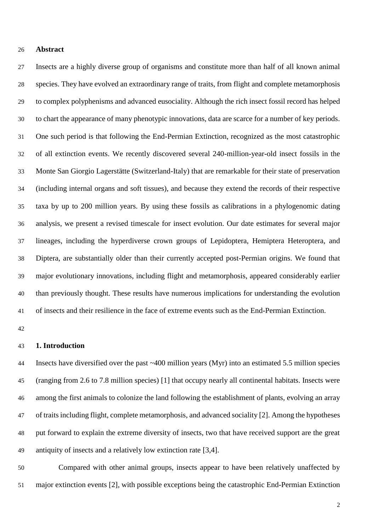#### **Abstract**

 Insects are a highly diverse group of organisms and constitute more than half of all known animal species. They have evolved an extraordinary range of traits, from flight and complete metamorphosis to complex polyphenisms and advanced eusociality. Although the rich insect fossil record has helped to chart the appearance of many phenotypic innovations, data are scarce for a number of key periods. One such period is that following the End-Permian Extinction, recognized as the most catastrophic of all extinction events. We recently discovered several 240-million-year-old insect fossils in the Monte San Giorgio Lagerstätte (Switzerland-Italy) that are remarkable for their state of preservation (including internal organs and soft tissues), and because they extend the records of their respective taxa by up to 200 million years. By using these fossils as calibrations in a phylogenomic dating analysis, we present a revised timescale for insect evolution. Our date estimates for several major lineages, including the hyperdiverse crown groups of Lepidoptera, Hemiptera Heteroptera, and Diptera, are substantially older than their currently accepted post-Permian origins. We found that major evolutionary innovations, including flight and metamorphosis, appeared considerably earlier than previously thought. These results have numerous implications for understanding the evolution of insects and their resilience in the face of extreme events such as the End-Permian Extinction.

## **1. Introduction**

 Insects have diversified over the past ~400 million years (Myr) into an estimated 5.5 million species (ranging from 2.6 to 7.8 million species) [1] that occupy nearly all continental habitats. Insects were among the first animals to colonize the land following the establishment of plants, evolving an array of traits including flight, complete metamorphosis, and advanced sociality [2]. Among the hypotheses put forward to explain the extreme diversity of insects, two that have received support are the great antiquity of insects and a relatively low extinction rate [3,4].

 Compared with other animal groups, insects appear to have been relatively unaffected by major extinction events [2], with possible exceptions being the catastrophic End-Permian Extinction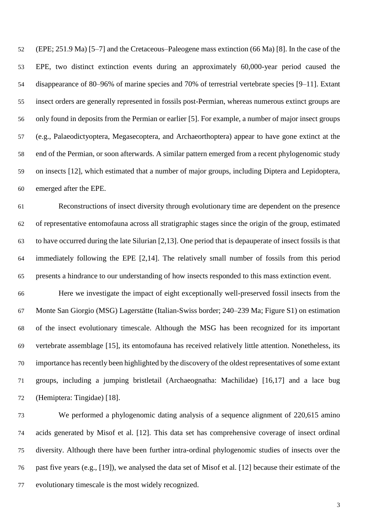(EPE; 251.9 Ma) [5–7] and the Cretaceous–Paleogene mass extinction (66 Ma) [8]. In the case of the EPE, two distinct extinction events during an approximately 60,000-year period caused the disappearance of 80–96% of marine species and 70% of terrestrial vertebrate species [9–11]. Extant insect orders are generally represented in fossils post-Permian, whereas numerous extinct groups are only found in deposits from the Permian or earlier [5]. For example, a number of major insect groups (e.g., Palaeodictyoptera, Megasecoptera, and Archaeorthoptera) appear to have gone extinct at the end of the Permian, or soon afterwards. A similar pattern emerged from a recent phylogenomic study on insects [12], which estimated that a number of major groups, including Diptera and Lepidoptera, emerged after the EPE.

 Reconstructions of insect diversity through evolutionary time are dependent on the presence of representative entomofauna across all stratigraphic stages since the origin of the group, estimated to have occurred during the late Silurian [2,13]. One period that is depauperate of insect fossils is that immediately following the EPE [2,14]. The relatively small number of fossils from this period presents a hindrance to our understanding of how insects responded to this mass extinction event.

 Here we investigate the impact of eight exceptionally well-preserved fossil insects from the Monte San Giorgio (MSG) Lagerstätte (Italian-Swiss border; 240–239 Ma; Figure S1) on estimation of the insect evolutionary timescale. Although the MSG has been recognized for its important vertebrate assemblage [15], its entomofauna has received relatively little attention. Nonetheless, its importance has recently been highlighted by the discovery of the oldest representatives of some extant groups, including a jumping bristletail (Archaeognatha: Machilidae) [16,17] and a lace bug (Hemiptera: Tingidae) [18].

 We performed a phylogenomic dating analysis of a sequence alignment of 220,615 amino acids generated by Misof et al. [12]. This data set has comprehensive coverage of insect ordinal diversity. Although there have been further intra-ordinal phylogenomic studies of insects over the past five years (e.g., [19]), we analysed the data set of Misof et al. [12] because their estimate of the evolutionary timescale is the most widely recognized.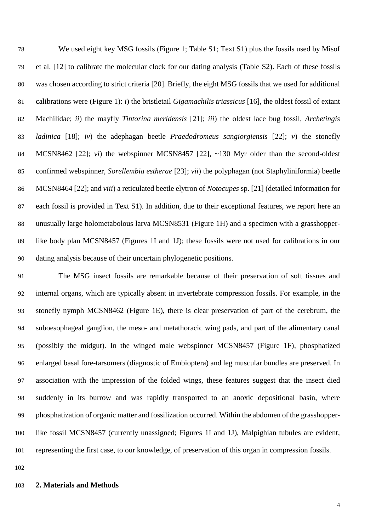We used eight key MSG fossils (Figure 1; Table S1; Text S1) plus the fossils used by Misof et al. [12] to calibrate the molecular clock for our dating analysis (Table S2). Each of these fossils was chosen according to strict criteria [20]. Briefly, the eight MSG fossils that we used for additional calibrations were (Figure 1): *i*) the bristletail *Gigamachilis triassicus* [16], the oldest fossil of extant Machilidae; *ii*) the mayfly *Tintorina meridensis* [21]; *iii*) the oldest lace bug fossil, *Archetingis ladinica* [18]; *iv*) the adephagan beetle *Praedodromeus sangiorgiensis* [22]; *v*) the stonefly MCSN8462 [22]; *vi*) the webspinner MCSN8457 [22], ~130 Myr older than the second-oldest confirmed webspinner, *Sorellembia estherae* [23]; *vii*) the polyphagan (not Staphyliniformia) beetle MCSN8464 [22]; and *viii*) a reticulated beetle elytron of *Notocupes* sp. [21] (detailed information for each fossil is provided in Text S1). In addition, due to their exceptional features, we report here an unusually large holometabolous larva MCSN8531 (Figure 1H) and a specimen with a grasshopper- like body plan MCSN8457 (Figures 1I and 1J); these fossils were not used for calibrations in our dating analysis because of their uncertain phylogenetic positions.

 The MSG insect fossils are remarkable because of their preservation of soft tissues and internal organs, which are typically absent in invertebrate compression fossils. For example, in the stonefly nymph MCSN8462 (Figure 1E), there is clear preservation of part of the cerebrum, the suboesophageal ganglion, the meso- and metathoracic wing pads, and part of the alimentary canal (possibly the midgut). In the winged male webspinner MCSN8457 (Figure 1F), phosphatized enlarged basal fore-tarsomers (diagnostic of Embioptera) and leg muscular bundles are preserved. In association with the impression of the folded wings, these features suggest that the insect died suddenly in its burrow and was rapidly transported to an anoxic depositional basin, where phosphatization of organic matter and fossilization occurred. Within the abdomen of the grasshopper- like fossil MCSN8457 (currently unassigned; Figures 1I and 1J), Malpighian tubules are evident, representing the first case, to our knowledge, of preservation of this organ in compression fossils.

## **2. Materials and Methods**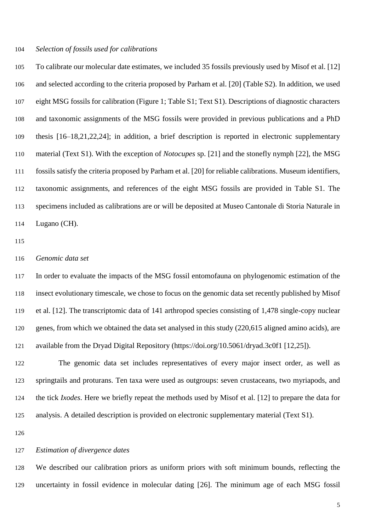#### *Selection of fossils used for calibrations*

 To calibrate our molecular date estimates, we included 35 fossils previously used by Misof et al. [12] and selected according to the criteria proposed by Parham et al. [20] (Table S2). In addition, we used eight MSG fossils for calibration (Figure 1; Table S1; Text S1). Descriptions of diagnostic characters and taxonomic assignments of the MSG fossils were provided in previous publications and a PhD thesis [16–18,21,22,24]; in addition, a brief description is reported in electronic supplementary material (Text S1). With the exception of *Notocupes* sp. [21] and the stonefly nymph [22], the MSG fossils satisfy the criteria proposed by Parham et al. [20] for reliable calibrations. Museum identifiers, taxonomic assignments, and references of the eight MSG fossils are provided in Table S1. The specimens included as calibrations are or will be deposited at Museo Cantonale di Storia Naturale in Lugano (CH).

#### *Genomic data set*

 In order to evaluate the impacts of the MSG fossil entomofauna on phylogenomic estimation of the insect evolutionary timescale, we chose to focus on the genomic data set recently published by Misof et al. [12]. The transcriptomic data of 141 arthropod species consisting of 1,478 single-copy nuclear genes, from which we obtained the data set analysed in this study (220,615 aligned amino acids), are available from the Dryad Digital Repository (https://doi.org/10.5061/dryad.3c0f1 [12,25]).

 The genomic data set includes representatives of every major insect order, as well as springtails and proturans. Ten taxa were used as outgroups: seven crustaceans, two myriapods, and the tick *Ixodes*. Here we briefly repeat the methods used by Misof et al. [12] to prepare the data for analysis. A detailed description is provided on electronic supplementary material (Text S1).

## *Estimation of divergence dates*

 We described our calibration priors as uniform priors with soft minimum bounds, reflecting the uncertainty in fossil evidence in molecular dating [26]. The minimum age of each MSG fossil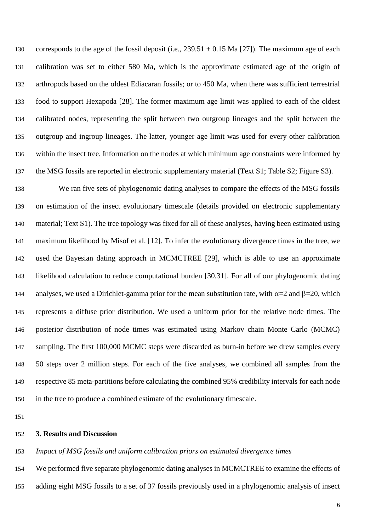130 corresponds to the age of the fossil deposit (i.e.,  $239.51 \pm 0.15$  Ma [27]). The maximum age of each calibration was set to either 580 Ma, which is the approximate estimated age of the origin of arthropods based on the oldest Ediacaran fossils; or to 450 Ma, when there was sufficient terrestrial food to support Hexapoda [28]. The former maximum age limit was applied to each of the oldest calibrated nodes, representing the split between two outgroup lineages and the split between the outgroup and ingroup lineages. The latter, younger age limit was used for every other calibration within the insect tree. Information on the nodes at which minimum age constraints were informed by the MSG fossils are reported in electronic supplementary material (Text S1; Table S2; Figure S3).

 We ran five sets of phylogenomic dating analyses to compare the effects of the MSG fossils on estimation of the insect evolutionary timescale (details provided on electronic supplementary material; Text S1). The tree topology was fixed for all of these analyses, having been estimated using maximum likelihood by Misof et al. [12]. To infer the evolutionary divergence times in the tree, we used the Bayesian dating approach in MCMCTREE [29], which is able to use an approximate likelihood calculation to reduce computational burden [30,31]. For all of our phylogenomic dating 144 analyses, we used a Dirichlet-gamma prior for the mean substitution rate, with  $\alpha=2$  and  $\beta=20$ , which represents a diffuse prior distribution. We used a uniform prior for the relative node times. The posterior distribution of node times was estimated using Markov chain Monte Carlo (MCMC) 147 sampling. The first 100,000 MCMC steps were discarded as burn-in before we drew samples every 50 steps over 2 million steps. For each of the five analyses, we combined all samples from the respective 85 meta-partitions before calculating the combined 95% credibility intervals for each node in the tree to produce a combined estimate of the evolutionary timescale.

# **3. Results and Discussion**

#### *Impact of MSG fossils and uniform calibration priors on estimated divergence times*

We performed five separate phylogenomic dating analyses in MCMCTREE to examine the effects of

adding eight MSG fossils to a set of 37 fossils previously used in a phylogenomic analysis of insect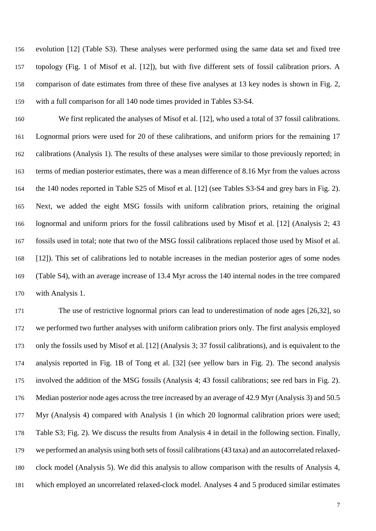evolution [12] (Table S3). These analyses were performed using the same data set and fixed tree topology (Fig. 1 of Misof et al. [12]), but with five different sets of fossil calibration priors. A comparison of date estimates from three of these five analyses at 13 key nodes is shown in Fig. 2, with a full comparison for all 140 node times provided in Tables S3-S4.

 We first replicated the analyses of Misof et al. [12], who used a total of 37 fossil calibrations. Lognormal priors were used for 20 of these calibrations, and uniform priors for the remaining 17 calibrations (Analysis 1). The results of these analyses were similar to those previously reported; in terms of median posterior estimates, there was a mean difference of 8.16 Myr from the values across the 140 nodes reported in Table S25 of Misof et al. [12] (see Tables S3-S4 and grey bars in Fig. 2). Next, we added the eight MSG fossils with uniform calibration priors, retaining the original lognormal and uniform priors for the fossil calibrations used by Misof et al. [12] (Analysis 2; 43 fossils used in total; note that two of the MSG fossil calibrations replaced those used by Misof et al. [12]). This set of calibrations led to notable increases in the median posterior ages of some nodes (Table S4), with an average increase of 13.4 Myr across the 140 internal nodes in the tree compared with Analysis 1.

 The use of restrictive lognormal priors can lead to underestimation of node ages [26,32], so we performed two further analyses with uniform calibration priors only. The first analysis employed only the fossils used by Misof et al. [12] (Analysis 3; 37 fossil calibrations), and is equivalent to the analysis reported in Fig. 1B of Tong et al. [32] (see yellow bars in Fig. 2). The second analysis involved the addition of the MSG fossils (Analysis 4; 43 fossil calibrations; see red bars in Fig. 2). Median posterior node ages across the tree increased by an average of 42.9 Myr (Analysis 3) and 50.5 Myr (Analysis 4) compared with Analysis 1 (in which 20 lognormal calibration priors were used; Table S3; Fig. 2). We discuss the results from Analysis 4 in detail in the following section. Finally, we performed an analysis using both sets of fossil calibrations(43 taxa) and an autocorrelated relaxed- clock model (Analysis 5). We did this analysis to allow comparison with the results of Analysis 4, which employed an uncorrelated relaxed-clock model. Analyses 4 and 5 produced similar estimates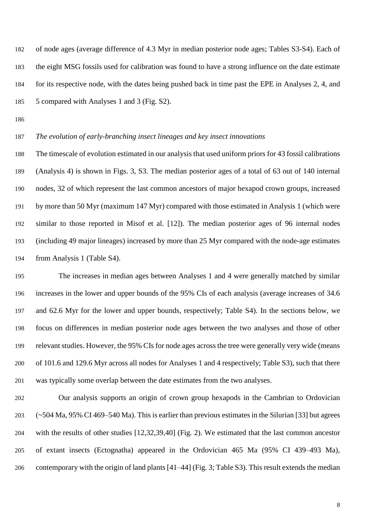of node ages (average difference of 4.3 Myr in median posterior node ages; Tables S3-S4). Each of the eight MSG fossils used for calibration was found to have a strong influence on the date estimate for its respective node, with the dates being pushed back in time past the EPE in Analyses 2, 4, and 5 compared with Analyses 1 and 3 (Fig. S2).

# *The evolution of early-branching insect lineages and key insect innovations*

 The timescale of evolution estimated in our analysis that used uniform priors for 43 fossil calibrations (Analysis 4) is shown in Figs. 3, S3. The median posterior ages of a total of 63 out of 140 internal nodes, 32 of which represent the last common ancestors of major hexapod crown groups, increased by more than 50 Myr (maximum 147 Myr) compared with those estimated in Analysis 1 (which were similar to those reported in Misof et al. [12]). The median posterior ages of 96 internal nodes (including 49 major lineages) increased by more than 25 Myr compared with the node-age estimates from Analysis 1 (Table S4).

 The increases in median ages between Analyses 1 and 4 were generally matched by similar increases in the lower and upper bounds of the 95% CIs of each analysis (average increases of 34.6 and 62.6 Myr for the lower and upper bounds, respectively; Table S4). In the sections below, we focus on differences in median posterior node ages between the two analyses and those of other relevant studies. However, the 95% CIs for node ages across the tree were generally very wide (means of 101.6 and 129.6 Myr across all nodes for Analyses 1 and 4 respectively; Table S3), such that there was typically some overlap between the date estimates from the two analyses.

 Our analysis supports an origin of crown group hexapods in the Cambrian to Ordovician (~504 Ma, 95% CI 469–540 Ma). This is earlier than previous estimates in the Silurian [33] but agrees with the results of other studies [12,32,39,40] (Fig. 2). We estimated that the last common ancestor of extant insects (Ectognatha) appeared in the Ordovician 465 Ma (95% CI 439–493 Ma), contemporary with the origin of land plants [41–44] (Fig. 3; Table S3). This result extends the median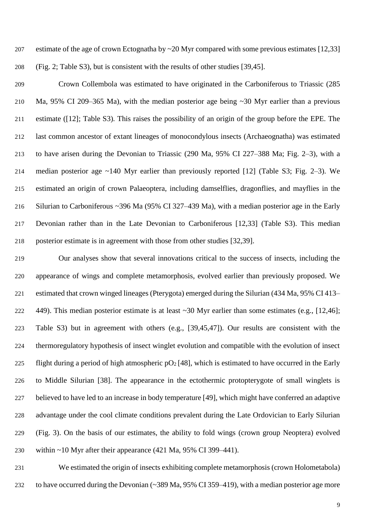estimate of the age of crown Ectognatha by ~20 Myr compared with some previous estimates [12,33] (Fig. 2; Table S3), but is consistent with the results of other studies [39,45].

 Crown Collembola was estimated to have originated in the Carboniferous to Triassic (285 Ma, 95% CI 209–365 Ma), with the median posterior age being ~30 Myr earlier than a previous estimate ([12]; Table S3). This raises the possibility of an origin of the group before the EPE. The last common ancestor of extant lineages of monocondylous insects (Archaeognatha) was estimated to have arisen during the Devonian to Triassic (290 Ma, 95% CI 227–388 Ma; Fig. 2–3), with a median posterior age ~140 Myr earlier than previously reported [12] (Table S3; Fig. 2–3). We estimated an origin of crown Palaeoptera, including damselflies, dragonflies, and mayflies in the Silurian to Carboniferous ~396 Ma (95% CI 327–439 Ma), with a median posterior age in the Early Devonian rather than in the Late Devonian to Carboniferous [12,33] (Table S3). This median posterior estimate is in agreement with those from other studies [32,39].

 Our analyses show that several innovations critical to the success of insects, including the appearance of wings and complete metamorphosis, evolved earlier than previously proposed. We estimated that crown winged lineages (Pterygota) emerged during the Silurian (434 Ma, 95% CI 413– 449). This median posterior estimate is at least ~30 Myr earlier than some estimates (e.g., [12,46]; Table S3) but in agreement with others (e.g., [39,45,47]). Our results are consistent with the thermoregulatory hypothesis of insect winglet evolution and compatible with the evolution of insect 225 flight during a period of high atmospheric  $pO_2$  [48], which is estimated to have occurred in the Early to Middle Silurian [38]. The appearance in the ectothermic protopterygote of small winglets is believed to have led to an increase in body temperature [49], which might have conferred an adaptive advantage under the cool climate conditions prevalent during the Late Ordovician to Early Silurian (Fig. 3). On the basis of our estimates, the ability to fold wings (crown group Neoptera) evolved within ~10 Myr after their appearance (421 Ma, 95% CI 399–441).

 We estimated the origin of insects exhibiting complete metamorphosis (crown Holometabola) to have occurred during the Devonian (~389 Ma, 95% CI 359–419), with a median posterior age more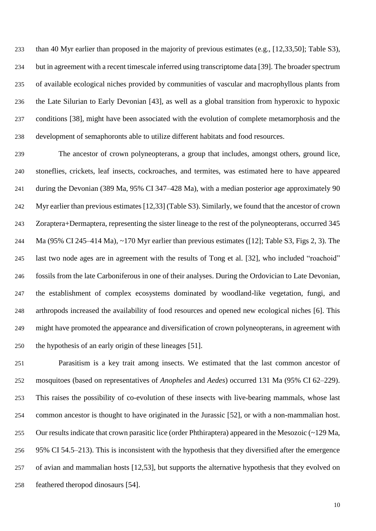than 40 Myr earlier than proposed in the majority of previous estimates (e.g., [12,33,50]; Table S3), but in agreement with a recent timescale inferred using transcriptome data [39]. The broader spectrum of available ecological niches provided by communities of vascular and macrophyllous plants from the Late Silurian to Early Devonian [43], as well as a global transition from hyperoxic to hypoxic conditions [38], might have been associated with the evolution of complete metamorphosis and the development of semaphoronts able to utilize different habitats and food resources.

 The ancestor of crown polyneopterans, a group that includes, amongst others, ground lice, stoneflies, crickets, leaf insects, cockroaches, and termites, was estimated here to have appeared during the Devonian (389 Ma, 95% CI 347–428 Ma), with a median posterior age approximately 90 Myr earlier than previous estimates [12,33] (Table S3). Similarly, we found that the ancestor of crown Zoraptera+Dermaptera, representing the sister lineage to the rest of the polyneopterans, occurred 345 Ma (95% CI 245–414 Ma), ~170 Myr earlier than previous estimates ([12]; Table S3, Figs 2, 3). The last two node ages are in agreement with the results of Tong et al. [32], who included "roachoid" fossils from the late Carboniferous in one of their analyses. During the Ordovician to Late Devonian, the establishment of complex ecosystems dominated by woodland-like vegetation, fungi, and arthropods increased the availability of food resources and opened new ecological niches [6]. This might have promoted the appearance and diversification of crown polyneopterans, in agreement with the hypothesis of an early origin of these lineages [51].

 Parasitism is a key trait among insects. We estimated that the last common ancestor of mosquitoes (based on representatives of *Anopheles* and *Aedes*) occurred 131 Ma (95% CI 62–229). This raises the possibility of co-evolution of these insects with live-bearing mammals, whose last common ancestor is thought to have originated in the Jurassic [52], or with a non-mammalian host. Our results indicate that crown parasitic lice (order Phthiraptera) appeared in the Mesozoic (~129 Ma, 95% CI 54.5–213). This is inconsistent with the hypothesis that they diversified after the emergence of avian and mammalian hosts [12,53], but supports the alternative hypothesis that they evolved on feathered theropod dinosaurs [54].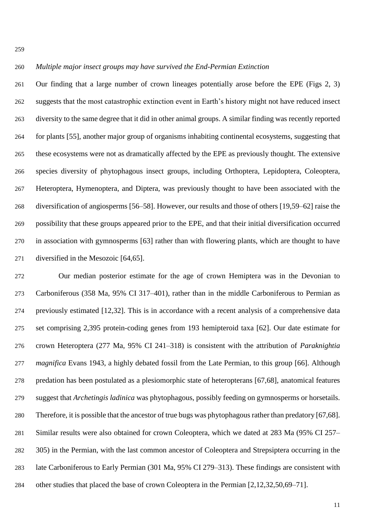#### *Multiple major insect groups may have survived the End-Permian Extinction*

 Our finding that a large number of crown lineages potentially arose before the EPE (Figs 2, 3) suggests that the most catastrophic extinction event in Earth's history might not have reduced insect diversity to the same degree that it did in other animal groups. A similar finding was recently reported for plants [55], another major group of organisms inhabiting continental ecosystems, suggesting that these ecosystems were not as dramatically affected by the EPE as previously thought. The extensive species diversity of phytophagous insect groups, including Orthoptera, Lepidoptera, Coleoptera, Heteroptera, Hymenoptera, and Diptera, was previously thought to have been associated with the diversification of angiosperms [56–58]. However, our results and those of others [19,59–62] raise the possibility that these groups appeared prior to the EPE, and that their initial diversification occurred in association with gymnosperms [63] rather than with flowering plants, which are thought to have diversified in the Mesozoic [64,65].

 Our median posterior estimate for the age of crown Hemiptera was in the Devonian to Carboniferous (358 Ma, 95% CI 317–401), rather than in the middle Carboniferous to Permian as previously estimated [12,32]. This is in accordance with a recent analysis of a comprehensive data set comprising 2,395 protein-coding genes from 193 hemipteroid taxa [62]. Our date estimate for crown Heteroptera (277 Ma, 95% CI 241–318) is consistent with the attribution of *Paraknightia magnifica* Evans 1943, a highly debated fossil from the Late Permian, to this group [66]. Although predation has been postulated as a plesiomorphic state of heteropterans [67,68], anatomical features suggest that *Archetingis ladinica* was phytophagous, possibly feeding on gymnosperms or horsetails. Therefore, it is possible that the ancestor of true bugs was phytophagous rather than predatory [67,68]. Similar results were also obtained for crown Coleoptera, which we dated at 283 Ma (95% CI 257– 305) in the Permian, with the last common ancestor of Coleoptera and Strepsiptera occurring in the late Carboniferous to Early Permian (301 Ma, 95% CI 279–313). These findings are consistent with other studies that placed the base of crown Coleoptera in the Permian [2,12,32,50,69–71].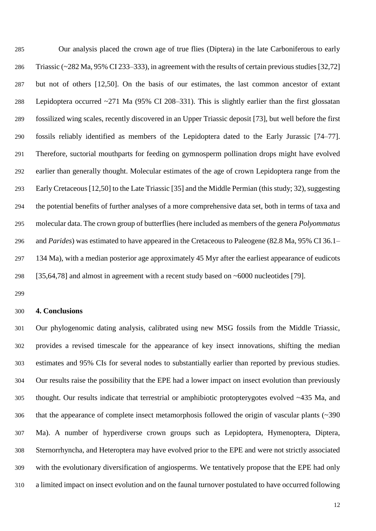Our analysis placed the crown age of true flies (Diptera) in the late Carboniferous to early Triassic (~282 Ma, 95% CI 233–333), in agreement with the results of certain previous studies [32,72] but not of others [12,50]. On the basis of our estimates, the last common ancestor of extant Lepidoptera occurred ~271 Ma (95% CI 208–331). This is slightly earlier than the first glossatan fossilized wing scales, recently discovered in an Upper Triassic deposit [73], but well before the first fossils reliably identified as members of the Lepidoptera dated to the Early Jurassic [74–77]. Therefore, suctorial mouthparts for feeding on gymnosperm pollination drops might have evolved earlier than generally thought. Molecular estimates of the age of crown Lepidoptera range from the Early Cretaceous [12,50] to the Late Triassic [35] and the Middle Permian (this study; 32), suggesting the potential benefits of further analyses of a more comprehensive data set, both in terms of taxa and molecular data. The crown group of butterflies (here included as members of the genera *Polyommatus* and *Parides*) was estimated to have appeared in the Cretaceous to Paleogene (82.8 Ma, 95% CI 36.1– 134 Ma), with a median posterior age approximately 45 Myr after the earliest appearance of eudicots [35,64,78] and almost in agreement with a recent study based on ~6000 nucleotides [79].

#### **4. Conclusions**

 Our phylogenomic dating analysis, calibrated using new MSG fossils from the Middle Triassic, provides a revised timescale for the appearance of key insect innovations, shifting the median estimates and 95% CIs for several nodes to substantially earlier than reported by previous studies. Our results raise the possibility that the EPE had a lower impact on insect evolution than previously thought. Our results indicate that terrestrial or amphibiotic protopterygotes evolved ~435 Ma, and that the appearance of complete insect metamorphosis followed the origin of vascular plants (~390 Ma). A number of hyperdiverse crown groups such as Lepidoptera, Hymenoptera, Diptera, Sternorrhyncha, and Heteroptera may have evolved prior to the EPE and were not strictly associated with the evolutionary diversification of angiosperms. We tentatively propose that the EPE had only a limited impact on insect evolution and on the faunal turnover postulated to have occurred following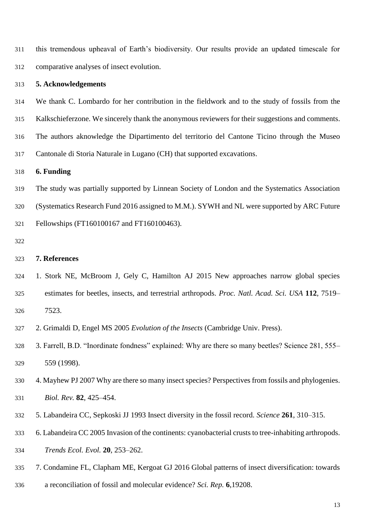this tremendous upheaval of Earth's biodiversity. Our results provide an updated timescale for comparative analyses of insect evolution.

#### **5. Acknowledgements**

 We thank C. Lombardo for her contribution in the fieldwork and to the study of fossils from the Kalkschieferzone. We sincerely thank the anonymous reviewers for their suggestions and comments. The authors aknowledge the Dipartimento del territorio del Cantone Ticino through the Museo

Cantonale di Storia Naturale in Lugano (CH) that supported excavations.

**6. Funding**

 The study was partially supported by Linnean Society of London and the Systematics Association (Systematics Research Fund 2016 assigned to M.M.). SYWH and NL were supported by ARC Future

Fellowships (FT160100167 and FT160100463).

#### **7. References**

 1. Stork NE, McBroom J, Gely C, Hamilton AJ 2015 New approaches narrow global species estimates for beetles, insects, and terrestrial arthropods. *Proc. Natl. Acad. Sci. USA* **112**, 7519– 7523.

2. Grimaldi D, Engel MS 2005 *Evolution of the Insects* (Cambridge Univ. Press).

 3. Farrell, B.D. "Inordinate fondness" explained: Why are there so many beetles? Science 281, 555– 559 (1998).

 4. Mayhew PJ 2007 Why are there so many insect species? Perspectives from fossils and phylogenies. *Biol. Rev.* **82**, 425–454.

- 5. Labandeira CC, Sepkoski JJ 1993 Insect diversity in the fossil record. *Science* **261**, 310–315.
- 6. Labandeira CC 2005 Invasion of the continents: cyanobacterial crusts to tree-inhabiting arthropods.
- *Trends Ecol. Evol.* **20**, 253–262.
- 7. Condamine FL, Clapham ME, Kergoat GJ 2016 Global patterns of insect diversification: towards
- a reconciliation of fossil and molecular evidence? *Sci. Rep.* **6**,19208.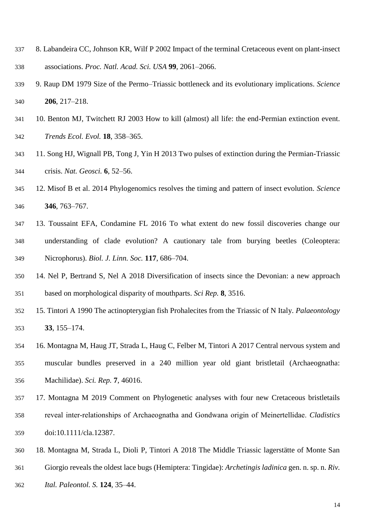- 8. Labandeira CC, Johnson KR, Wilf P 2002 Impact of the terminal Cretaceous event on plant-insect associations. *Proc. Natl. Acad. Sci. USA* **99**, 2061–2066.
- 9. Raup DM 1979 Size of the Permo–Triassic bottleneck and its evolutionary implications. *Science* **206**, 217–218.
- 10. Benton MJ, Twitchett RJ 2003 How to kill (almost) all life: the end-Permian extinction event. *Trends Ecol. Evol.* **18**, 358–365.
- 11. Song HJ, Wignall PB, Tong J, Yin H 2013 Two pulses of extinction during the Permian-Triassic crisis. *Nat. Geosci.* **6**, 52–56.
- 12. Misof B et al. 2014 Phylogenomics resolves the timing and pattern of insect evolution. *Science* **346**, 763–767.
- 13. Toussaint EFA, Condamine FL 2016 To what extent do new fossil discoveries change our understanding of clade evolution? A cautionary tale from burying beetles (Coleoptera: Nicrophorus). *Biol. J. Linn. Soc.* **117**, 686–704.
- 14. Nel P, Bertrand S, Nel A 2018 Diversification of insects since the Devonian: a new approach based on morphological disparity of mouthparts. *Sci Rep.* **8**, 3516.
- 15. Tintori A 1990 The actinopterygian fish Prohalecites from the Triassic of N Italy. *Palaeontology* **33**, 155–174.
- 16. Montagna M, Haug JT, Strada L, Haug C, Felber M, Tintori A 2017 Central nervous system and muscular bundles preserved in a 240 million year old giant bristletail (Archaeognatha: Machilidae). *Sci. Rep.* **7**, 46016.
- 17. Montagna M 2019 Comment on Phylogenetic analyses with four new Cretaceous bristletails reveal inter‐relationships of Archaeognatha and Gondwana origin of Meinertellidae. *Cladistics* doi:10.1111/cla.12387.
- 18. Montagna M, Strada L, Dioli P, Tintori A 2018 The Middle Triassic lagerstätte of Monte San
- Giorgio reveals the oldest lace bugs (Hemiptera: Tingidae): *Archetingis ladinica* gen. n. sp. n. *Riv.*
- *Ital. Paleontol. S.* **124**, 35–44.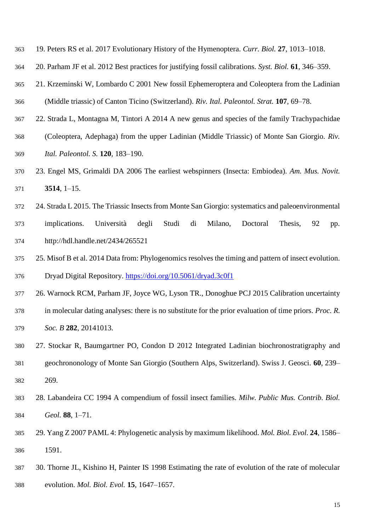- 19. Peters RS et al. 2017 Evolutionary History of the Hymenoptera. *Curr. Biol.* **27**, 1013–1018.
- 20. Parham JF et al. 2012 Best practices for justifying fossil calibrations. *Syst. Biol.* **61**, 346–359.
- 21. Krzeminski W, Lombardo C 2001 New fossil Ephemeroptera and Coleoptera from the Ladinian (Middle triassic) of Canton Ticino (Switzerland). *Riv. Ital. Paleontol. Strat.* **107**, 69–78.
- 22. Strada L, Montagna M, Tintori A 2014 A new genus and species of the family Trachypachidae
- (Coleoptera, Adephaga) from the upper Ladinian (Middle Triassic) of Monte San Giorgio. *Riv. Ital. Paleontol. S.* **120**, 183–190.
- 23. Engel MS, Grimaldi DA 2006 The earliest webspinners (Insecta: Embiodea). *Am. Mus. Novit.* **3514**, 1–15.
- 24. Strada L 2015. The Triassic Insects from Monte San Giorgio: systematics and paleoenvironmental implications. Università degli Studi di Milano, Doctoral Thesis, 92 pp. http://hdl.handle.net/2434/265521
- 25. Misof B et al. 2014 Data from: Phylogenomics resolves the timing and pattern of insect evolution. Dryad Digital Repository.<https://doi.org/10.5061/dryad.3c0f1>
- 26. Warnock RCM, Parham JF, Joyce WG, Lyson TR., Donoghue PCJ 2015 Calibration uncertainty
- in molecular dating analyses: there is no substitute for the prior evaluation of time priors. *Proc. R. Soc. B* **282**, 20141013.
- 27. Stockar R, Baumgartner PO, Condon D 2012 Integrated Ladinian biochronostratigraphy and geochrononology of Monte San Giorgio (Southern Alps, Switzerland). Swiss J. Geosci. **60**, 239– 269.
- 28. Labandeira CC 1994 A compendium of fossil insect families. *Milw. Public Mus. Contrib. Biol. Geol.* **88**, 1–71.
- 29. Yang Z 2007 PAML 4: Phylogenetic analysis by maximum likelihood. *Mol. Biol. Evol.* **24**, 1586– 1591.
- 30. Thorne JL, Kishino H, Painter IS 1998 Estimating the rate of evolution of the rate of molecular evolution. *Mol. Biol. Evol.* **15**, 1647–1657.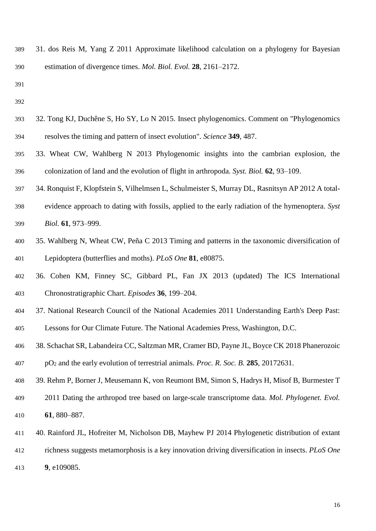- 31. dos Reis M, Yang Z 2011 Approximate likelihood calculation on a phylogeny for Bayesian estimation of divergence times. *Mol. Biol. Evol.* **28**, 2161–2172.
- 
- 
- 32. Tong KJ, Duchêne S, Ho SY, Lo N 2015. Insect phylogenomics. Comment on "Phylogenomics resolves the timing and pattern of insect evolution". *Science* **349**, 487.
- 33. Wheat CW, Wahlberg N 2013 Phylogenomic insights into the cambrian explosion, the colonization of land and the evolution of flight in arthropoda. *Syst. Biol.* **62**, 93–109.
- 34. Ronquist F, Klopfstein S, Vilhelmsen L, Schulmeister S, Murray DL, Rasnitsyn AP 2012 A total-
- evidence approach to dating with fossils, applied to the early radiation of the hymenoptera. *Syst Biol.* **61**, 973–999.
- 35. Wahlberg N, Wheat CW, Peña C 2013 Timing and patterns in the taxonomic diversification of Lepidoptera (butterflies and moths). *PLoS One* **81**, e80875.
- 36. Cohen KM, Finney SC, Gibbard PL, Fan JX 2013 (updated) The ICS International Chronostratigraphic Chart. *Episodes* **36**, 199–204.
- 37. National Research Council of the National Academies 2011 Understanding Earth's Deep Past: Lessons for Our Climate Future. The National Academies Press, Washington, D.C.
- 38. Schachat SR, Labandeira CC, Saltzman MR, Cramer BD, Payne JL, Boyce CK 2018 Phanerozoic pO<sup>2</sup> and the early evolution of terrestrial animals. *Proc. R. Soc. B.* **285**, 20172631.
- 39. Rehm P, Borner J, Meusemann K, von Reumont BM, Simon S, Hadrys H, Misof B, Burmester T
- 2011 Dating the arthropod tree based on large-scale transcriptome data. *Mol. Phylogenet. Evol.* **61**, 880–887.
- 40. Rainford JL, Hofreiter M, Nicholson DB, Mayhew PJ 2014 Phylogenetic distribution of extant
- richness suggests metamorphosis is a key innovation driving diversification in insects. *PLoS One*
- **9**, e109085.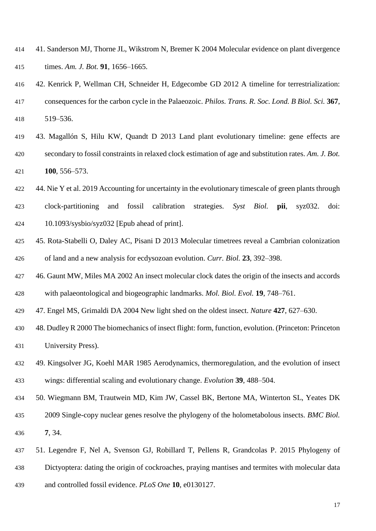- 41. Sanderson MJ, Thorne JL, Wikstrom N, Bremer K 2004 Molecular evidence on plant divergence times. *Am. J. Bot.* **91**, 1656–1665.
- 42. Kenrick P, Wellman CH, Schneider H, Edgecombe GD 2012 A timeline for terrestrialization: consequences for the carbon cycle in the Palaeozoic. *Philos. Trans. R. Soc. Lond. B Biol. Sci.* **367**, 519–536.
- 43. Magallón S, Hilu KW, Quandt D 2013 Land plant evolutionary timeline: gene effects are secondary to fossil constraints in relaxed clock estimation of age and substitution rates. *Am. J. Bot.* **100**, 556–573.
- 422 44. Nie Y et al. 2019 Accounting for uncertainty in the evolutionary timescale of green plants through
- clock-partitioning and fossil calibration strategies. *Syst Biol.* **pii**, syz032. doi: 10.1093/sysbio/syz032 [Epub ahead of print].
- 45. Rota-Stabelli O, Daley AC, Pisani D 2013 Molecular timetrees reveal a Cambrian colonization of land and a new analysis for ecdysozoan evolution. *Curr. Biol.* **23**, 392–398.
- 46. Gaunt MW, Miles MA 2002 An insect molecular clock dates the origin of the insects and accords with palaeontological and biogeographic landmarks. *Mol. Biol. Evol.* **19**, 748–761.
- 47. Engel MS, Grimaldi DA 2004 New light shed on the oldest insect. *Nature* **427**, 627–630.
- 48. Dudley R 2000 The biomechanics of insect flight: form, function, evolution. (Princeton: Princeton University Press).
- 49. Kingsolver JG, Koehl MAR 1985 Aerodynamics, thermoregulation, and the evolution of insect wings: differential scaling and evolutionary change. *Evolution* **39**, 488–504.
- 50. Wiegmann BM, Trautwein MD, Kim JW, Cassel BK, Bertone MA, Winterton SL, Yeates DK
- 2009 Single-copy nuclear genes resolve the phylogeny of the holometabolous insects. *BMC Biol.* **7**, 34.
- 51. Legendre F, Nel A, Svenson GJ, Robillard T, Pellens R, Grandcolas P. 2015 Phylogeny of Dictyoptera: dating the origin of cockroaches, praying mantises and termites with molecular data and controlled fossil evidence. *PLoS One* **10**, e0130127.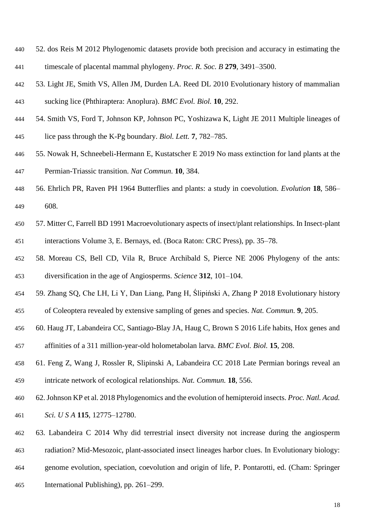- 52. dos Reis M 2012 Phylogenomic datasets provide both precision and accuracy in estimating the timescale of placental mammal phylogeny. *Proc. R. Soc. B* **279**, 3491–3500.
- 53. Light JE, Smith VS, Allen JM, Durden LA. Reed DL 2010 Evolutionary history of mammalian sucking lice (Phthiraptera: Anoplura). *BMC Evol. Biol.* **10**, 292.
- 54. Smith VS, Ford T, Johnson KP, Johnson PC, Yoshizawa K, Light JE 2011 Multiple lineages of lice pass through the K-Pg boundary. *Biol. Lett.* **7**, 782–785.
- 55. Nowak H, Schneebeli-Hermann E, Kustatscher E 2019 No mass extinction for land plants at the Permian-Triassic transition. *Nat Commun*. **10**, 384.
- 56. Ehrlich PR, Raven PH 1964 Butterflies and plants: a study in coevolution. *Evolution* **18**, 586– 608.
- 57. Mitter C, Farrell BD 1991 Macroevolutionary aspects of insect/plant relationships. In Insect-plant interactions Volume 3, E. Bernays, ed. (Boca Raton: CRC Press), pp. 35–78.
- 58. Moreau CS, Bell CD, Vila R, Bruce Archibald S, Pierce NE 2006 Phylogeny of the ants: diversification in the age of Angiosperms. *Science* **312**, 101–104.
- 59. Zhang SQ, Che LH, Li Y, Dan Liang, Pang H, Ślipiński A, Zhang P 2018 Evolutionary history
- of Coleoptera revealed by extensive sampling of genes and species. *Nat. Commun.* **9**, 205.
- 60. Haug JT, Labandeira CC, Santiago-Blay JA, Haug C, Brown S 2016 Life habits, Hox genes and
- affinities of a 311 million-year-old holometabolan larva. *BMC Evol. Biol.* **15**, 208.
- 61. Feng Z, Wang J, Rossler R, Slipinski A, Labandeira CC 2018 Late Permian borings reveal an intricate network of ecological relationships. *Nat. Commun.* **18**, 556.
- 62. Johnson KP et al. 2018 Phylogenomics and the evolution of hemipteroid insects. *Proc. Natl. Acad. Sci. U S A* **115**, 12775–12780.
- 63. Labandeira C 2014 Why did terrestrial insect diversity not increase during the angiosperm
- radiation? Mid-Mesozoic, plant-associated insect lineages harbor clues. In Evolutionary biology:
- genome evolution, speciation, coevolution and origin of life, P. Pontarotti, ed. (Cham: Springer
- International Publishing), pp. 261–299.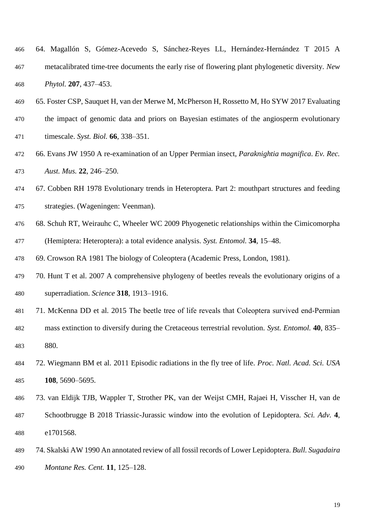- 64. Magallón S, Gómez-Acevedo S, Sánchez-Reyes LL, Hernández-Hernández T 2015 A metacalibrated time-tree documents the early rise of flowering plant phylogenetic diversity. *New Phytol.* **207**, 437–453.
- 65. Foster CSP, Sauquet H, van der Merwe M, McPherson H, Rossetto M, Ho SYW 2017 Evaluating
- the impact of genomic data and priors on Bayesian estimates of the angiosperm evolutionary
- timescale. *Syst. Biol.* **66**, 338–351.
- 66. Evans JW 1950 A re-examination of an Upper Permian insect, *Paraknightia magnifica*. *Ev. Rec. Aust. Mus.* **22**, 246–250.
- 67. Cobben RH 1978 Evolutionary trends in Heteroptera. Part 2: mouthpart structures and feeding strategies. (Wageningen: Veenman).
- 68. Schuh RT, Weirauhc C, Wheeler WC 2009 Phyogenetic relationships within the Cimicomorpha (Hemiptera: Heteroptera): a total evidence analysis. *Syst. Entomol.* **34**, 15–48.
- 69. Crowson RA 1981 The biology of Coleoptera (Academic Press, London, 1981).
- 70. Hunt T et al. 2007 A comprehensive phylogeny of beetles reveals the evolutionary origins of a superradiation. *Science* **318**, 1913–1916.
- 71. McKenna DD et al. 2015 The beetle tree of life reveals that Coleoptera survived end‐Permian
- mass extinction to diversify during the Cretaceous terrestrial revolution. *Syst. Entomol.* **40**, 835– 880.
- 72. Wiegmann BM et al. 2011 Episodic radiations in the fly tree of life. *Proc. Natl. Acad. Sci. USA* **108**, 5690–5695.
- 73. van Eldijk TJB, Wappler T, Strother PK, van der Weijst CMH, Rajaei H, Visscher H, van de
- Schootbrugge B 2018 Triassic-Jurassic window into the evolution of Lepidoptera. *Sci. Adv.* **4**, e1701568.
- 74. Skalski AW 1990 An annotated review of all fossil records of Lower Lepidoptera. *Bull. Sugadaira Montane Res. Cent.* **11**, 125–128.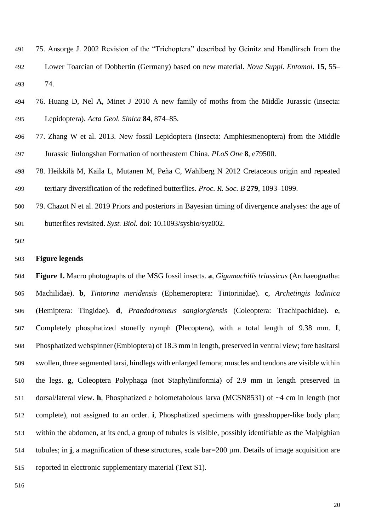- 75. Ansorge J. 2002 Revision of the "Trichoptera" described by Geinitz and Handlirsch from the Lower Toarcian of Dobbertin (Germany) based on new material. *Nova Suppl. Entomol*. **15**, 55– 74.
- 76. Huang D, Nel A, Minet J 2010 A new family of moths from the Middle Jurassic (Insecta: Lepidoptera). *Acta Geol. Sinica* **84**, 874–85.
- 77. Zhang W et al. 2013. New fossil Lepidoptera (Insecta: Amphiesmenoptera) from the Middle Jurassic Jiulongshan Formation of northeastern China. *PLoS One* **8**, e79500.
- 78. Heikkilä M, Kaila L, Mutanen M, Peña C, Wahlberg N 2012 Cretaceous origin and repeated tertiary diversification of the redefined butterflies. *Proc. R. Soc. B* **279**, 1093–1099.
- 79. Chazot N et al. 2019 Priors and posteriors in Bayesian timing of divergence analyses: the age of butterflies revisited. *Syst. Biol.* doi: 10.1093/sysbio/syz002.
- 

# **Figure legends**

 **Figure 1.** Macro photographs of the MSG fossil insects. **a**, *Gigamachilis triassicus* (Archaeognatha: Machilidae). **b**, *Tintorina meridensis* (Ephemeroptera: Tintorinidae). **c**, *Archetingis ladinica* (Hemiptera: Tingidae). **d**, *Praedodromeus sangiorgiensis* (Coleoptera: Trachipachidae). **e**, Completely phosphatized stonefly nymph (Plecoptera), with a total length of 9.38 mm. **f**, Phosphatized webspinner (Embioptera) of 18.3 mm in length, preserved in ventral view; fore basitarsi swollen, three segmented tarsi, hindlegs with enlarged femora; muscles and tendons are visible within the legs. **g**, Coleoptera Polyphaga (not Staphyliniformia) of 2.9 mm in length preserved in dorsal/lateral view. **h**, Phosphatized e holometabolous larva (MCSN8531) of ~4 cm in length (not complete), not assigned to an order. **i**, Phosphatized specimens with grasshopper-like body plan; within the abdomen, at its end, a group of tubules is visible, possibly identifiable as the Malpighian tubules; in **j**, a magnification of these structures, scale bar=200 µm. Details of image acquisition are reported in electronic supplementary material (Text S1).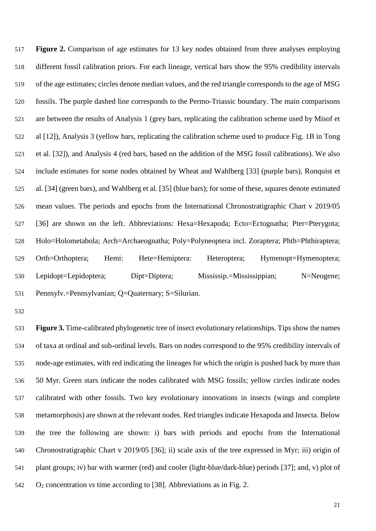**Figure 2.** Comparison of age estimates for 13 key nodes obtained from three analyses employing different fossil calibration priors. For each lineage, vertical bars show the 95% credibility intervals of the age estimates; circles denote median values, and the red triangle corresponds to the age of MSG fossils. The purple dashed line corresponds to the Permo-Triassic boundary. The main comparisons are between the results of Analysis 1 (grey bars, replicating the calibration scheme used by Misof et al [12]), Analysis 3 (yellow bars, replicating the calibration scheme used to produce Fig. 1B in Tong et al. [32]), and Analysis 4 (red bars, based on the addition of the MSG fossil calibrations). We also include estimates for some nodes obtained by Wheat and Wahlberg [33] (purple bars), Ronquist et al. [34] (green bars), and Wahlberg et al. [35] (blue bars); for some of these, squares denote estimated mean values. The periods and epochs from the International Chronostratigraphic Chart v 2019/05 [36] are shown on the left. Abbreviations: Hexa=Hexapoda; Ecto=Ectognatha; Pter=Pterygota; Holo=Holometabola; Arch=Archaeognatha; Poly=Polyneoptera incl. Zoraptera; Phth=Phthiraptera; Orth=Orthoptera; Hemi: Hete=Hemiptera: Heteroptera; Hymenopt=Hymenoptera; Lepidopt=Lepidoptera; Dipt=Diptera; Mississip.=Mississippian; N=Neogene; Pennsylv.=Pennsylvanian; Q=Quaternary; S=Silurian.

**Figure 3.** Time-calibrated phylogenetic tree of insect evolutionary relationships. Tips show the names of taxa at ordinal and sub-ordinal levels. Bars on nodes correspond to the 95% credibility intervals of node-age estimates, with red indicating the lineages for which the origin is pushed back by more than 50 Myr. Green stars indicate the nodes calibrated with MSG fossils; yellow circles indicate nodes calibrated with other fossils. Two key evolutionary innovations in insects (wings and complete metamorphosis) are shown at the relevant nodes. Red triangles indicate Hexapoda and Insecta. Below the tree the following are shown: i) bars with periods and epochs from the International Chronostratigraphic Chart v 2019/05 [36]; ii) scale axis of the tree expressed in Myr; iii) origin of plant groups; iv) bar with warmer (red) and cooler (light-blue/dark-blue) periods [37]; and, v) plot of O<sup>2</sup> concentration *vs* time according to [38]. Abbreviations as in Fig. 2.